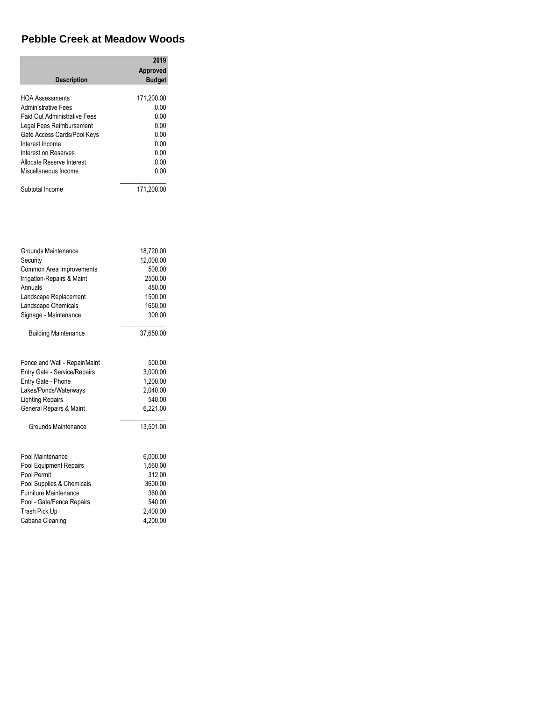## **Pebble Creek at Meadow Woods**

| <b>Description</b>                                                                                                                                                                                                                       | 2019<br>Approved<br><b>Budget</b>                                          |
|------------------------------------------------------------------------------------------------------------------------------------------------------------------------------------------------------------------------------------------|----------------------------------------------------------------------------|
| <b>HOA Assessments</b><br>Administrative Fees<br>Paid Out Administrative Fees<br>Legal Fees Reimbursement<br>Gate Access Cards/Pool Keys<br>Interest Income<br>Interest on Reserves<br>Allocate Reserve Interest<br>Miscellaneous Income | 171,200.00<br>0.00<br>0.00<br>0.00<br>0.OO<br>0.00<br>0.00<br>0.00<br>0.00 |
| Subtotal Income                                                                                                                                                                                                                          | 171.200.00                                                                 |

| Grounds Maintenance           | 18,720.00 |
|-------------------------------|-----------|
| Security                      | 12,000.00 |
| Common Area Improvements      | 500.00    |
| Irrigation-Repairs & Maint    | 2500.00   |
| Annuals                       | 480.00    |
| Landscape Replacement         | 1500.00   |
| Landscape Chemicals           | 1650.00   |
| Signage - Maintenance         | 300.00    |
| <b>Building Maintenance</b>   | 37,650.00 |
| Fence and Wall - Repair/Maint | 500.00    |
| Entry Gate - Service/Repairs  | 3,000.00  |
| Entry Gate - Phone            | 1,200.00  |
| Lakes/Ponds/Waterways         | 2,040.00  |
| <b>Lighting Repairs</b>       | 540.00    |
| General Repairs & Maint       | 6,221.00  |
| Grounds Maintenance           | 13.501.00 |
| Pool Maintenance              | 6,000.00  |
| Pool Equipment Repairs        | 1.560.00  |
| Pool Permit                   | 312.00    |
| Pool Supplies & Chemicals     | 3600.00   |
| <b>Furniture Maintenance</b>  | 360.00    |
| Pool - Gate/Fence Repairs     | 540.00    |
| Trash Pick Up                 | 2,400.00  |
| Cabana Cleaning               | 4.200.00  |